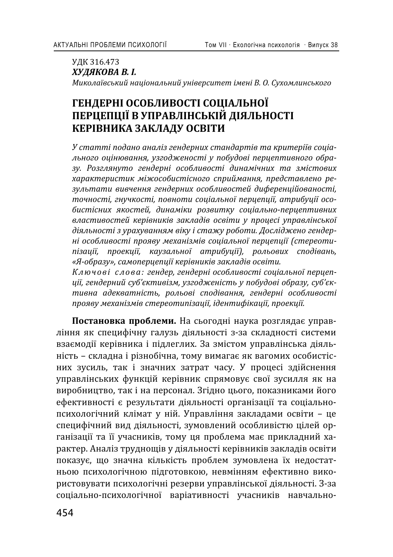УДК 316.473  $XYJJKOBA B. I.$ *ʛˋˍˑˎ˃˫˅˔˟ˍˋˌ ː˃˙˪ˑː˃ˎ˟ːˋˌ ˖ː˪˅ˈ˓˔ˋ˕ˈ˕ ˪ˏˈː˪ ʑ. ʝ. ʠ˖˘ˑˏˎˋː˔˟ˍˑˆˑ*

# ГЕНДЕРНІ ОСОБЛИВОСТІ СОЦІАЛЬНОЇ ПЕРЦЕПЦІЇ В УПРАВЛІНСЬКІЙ ДІЯЛЬНОСТІ КЕРІВНИКА ЗАКЛАДУ ОСВІТИ

У статті подано аналіз гендерних стандартів та критеріїв соціального оцінювання, узгодженості у побудові перцептивного образу. Розглянуто гендерні особливості динамічних та змістових *˘˃˓˃ˍ˕ˈ˓ˋ˔˕ˋˍ ˏ˪ˉˑ˔ˑ˄ˋ˔˕˪˔ːˑˆˑ ˔˒˓ˋˌˏ˃ːːˢ, ˒˓ˈˇ˔˕˃˅ˎˈːˑ ˓ˈ*зультати вивчення гендерних особливостей диференційованості,  $m$ очності, гнучкості, повноти соціальної перцепції, атрибуції особистісних якостей, динаміки розвитку соціально-перцептивних властивостей керівників закладів освіти у процесі управлінської діяльності з урахуванням віку і стажу роботи. Досліджено гендер- $\overline{H}$ *i* особливості прояву механізмів соціальної перцепції (стереоти $ni$ зації, проекції, каузальної атрибуції), рольових сподівань, «Я-образу», самоперцепції керівників закладів освіти.

Ключові слова: гендер, гендерні особливості соціальної перцеп-*˙˪˫, ˆˈːˇˈ˓ːˋˌ ˔˖˄'˦ˍ˕ˋ˅˪ˊˏ, ˖ˊˆˑˇˉˈː˪˔˕˟ ˖ ˒ˑ˄˖ˇˑ˅˪ ˑ˄˓˃ˊ˖, ˔˖˄'˦ˍ* тивна адекватність, рольові сподівання, гендерні особливості *˒˓ˑˢ˅˖ ˏˈ˘˃ː˪ˊˏ˪˅ ˔˕ˈ˓ˈˑ˕ˋ˒˪ˊ˃˙˪˫, ˪ˇˈː˕ˋ˗˪ˍ˃˙˪˫, ˒˓ˑˈˍ˙˪˫.*

Постановка проблеми. На сьогодні наука розглядає управління як специфічну галузь діяльності з-за складності системи взаємодії керівника і підлеглих. За змістом управлінська діяльність - складна і різнобічна, тому вимагає як вагомих особистісних зусиль, так і значних затрат часу. У процесі здійснення управлінських функцій керівник спрямовує свої зусилля як на виробництво, так і на персонал. Згідно цього, показниками його ефективності є результати діяльності організації та соціальнопсихологічний клімат у ній. Управління закладами освіти - це специфічний вид діяльності, зумовлений особливістю цілей організації та її учасників, тому ця проблема має прикладний характер. Аналіз труднощів у діяльності керівників закладів освіти показує, що значна кількість проблем зумовлена їх недостатньою психологічною підготовкою, невмінням ефективно використовувати психологічні резерви управлінської діяльності. З-за соціально-психологічної варіативності учасників навчально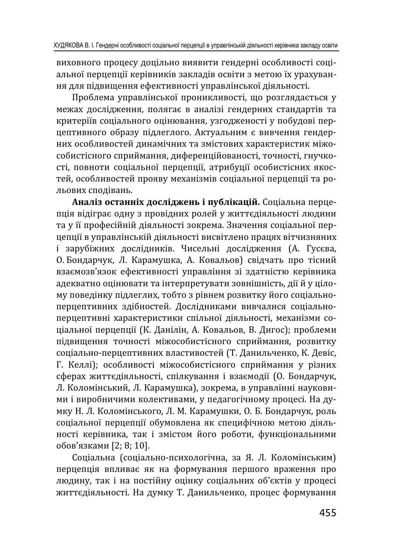виховного процесу доцільно виявити гендерні особливості соціальної перцепції керівників закладів освіти з метою їх урахування для підвищення ефективності управлінської діяльності.

Проблема управлінської проникливості, що розглядається у межах дослідження, полягає в аналізі гендерних стандартів та критеріїв соціального оцінювання, узгодженості у побудові перцептивного образу підлеглого. Актуальним є вивчення гендерних особливостей динамічних та змістових характеристик міжособистісного сприймання, диференційованості, точності, гнучкості, повноти соціальної перцепції, атрибуції особистісних якостей, особливостей прояву механізмів соціальної перцепції та рольових сподівань.

Аналіз останніх досліджень і публікацій. Соціальна перцепція відіграє одну з провідних ролей у життєдіяльності людини та у її професійній діяльності зокрема. Значення соціальної перцепції в управлінській діяльності висвітлено працях вітчизняних і зарубіжних дослідників. Чисельні дослідження (А. Гусєва, О. Бондарчук, Л. Карамушка, А. Ковальов) свідчать про тісний взаємозв'язок ефективності управління зі здатністю керівника адекватно оцінювати та інтерпретувати зовнішність, дії й у цілому поведінку підлеглих, тобто з рівнем розвитку його соціальноперцептивних здібностей. Дослідниками вивчалися соціальноперцептивні характеристики спільної діяльності, механізми соціальної перцепції (К. Данілін, А. Ковальов, В. Дигос); проблеми підвищення точності міжособистісного сприймання, розвитку соціально-перцептивних властивостей (Т. Данильченко, К. Девіс, Г. Келлі); особливості міжособистісного сприймання у різних сферах життєдіяльності, спілкування і взаємодії (О. Бондарчук, Л. Коломінський, Л. Карамушка), зокрема, в управлінні науковими і виробничими колективами, у педагогічному процесі. На думку Н. Л. Коломінського, Л. М. Карамушки, О. Б. Бондарчук, роль соціальної перцепції обумовлена як специфічною метою діяльності керівника, так і змістом його роботи, функціональними обов'язками [2; 8; 10].

Соціальна (соціально-психологічна, за Я. Л. Коломінським) перцепція впливає як на формування першого враження про людину, так і на постійну оцінку соціальних об'єктів у процесі життєдіяльності. На думку Т. Данильченко, процес формування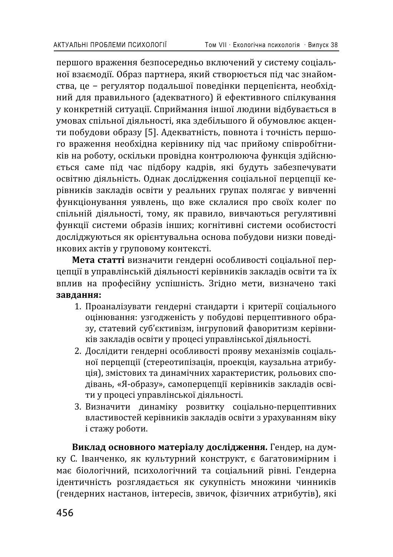першого враження безпосередньо включений у систему соціальної взаємодії. Образ партнера, який створюється під час знайомства, це - регулятор подальшої поведінки перцепієнта, необхідний для правильного (адекватного) й ефективного спілкування у конкретній ситуації. Сприймання іншої людини відбувається в умовах спільної діяльності, яка здебільшого й обумовлює акценти побудови образу [5]. Адекватність, повнота і точність першого враження необхідна керівнику під час прийому співробітників на роботу, оскільки провідна контролююча функція здійснюється саме під час підбору кадрів, які будуть забезпечувати освітню діяльність. Однак дослідження соціальної перцепції керівників закладів освіти у реальних групах полягає у вивченні функціонування уявлень, що вже склалися про своїх колег по спільній діяльності, тому, як правило, вивчаються регулятивні функції системи образів інших; когнітивні системи особистості досліджуються як орієнтувальна основа побудови низки поведінкових актів у груповому контексті.

Мета статті визначити гендерні особливості соціальної перцепції в управлінській діяльності керівників закладів освіти та їх вплив на професійну успішність. Згідно мети, визначено такі завдання:

- 1. Проаналізувати гендерні стандарти і критерії соціального оцінювання: узгодженість у побудові перцептивного образу, статевий суб'єктивізм, інгруповий фаворитизм керівників закладів освіти у процесі управлінської діяльності.
- 2. Дослідити гендерні особливості прояву механізмів соціальної перцепції (стереотипізація, проекція, каузальна атрибуція), змістових та динамічних характеристик, рольових сподівань, «Я-образу», самоперцепції керівників закладів освіти у процесі управлінської діяльності.
- 3. Визначити динаміку розвитку соціально-перцептивних властивостей керівників закладів освіти з урахуванням віку і стажу роботи.

Виклад основного матеріалу дослідження. Гендер, на думку С. Іванченко, як культурний конструкт, є багатовимірним і має біологічний, психологічний та соціальний рівні. Гендерна ідентичність розглядається як сукупність множини чинників (гендерних настанов, інтересів, звичок, фізичних атрибутів), які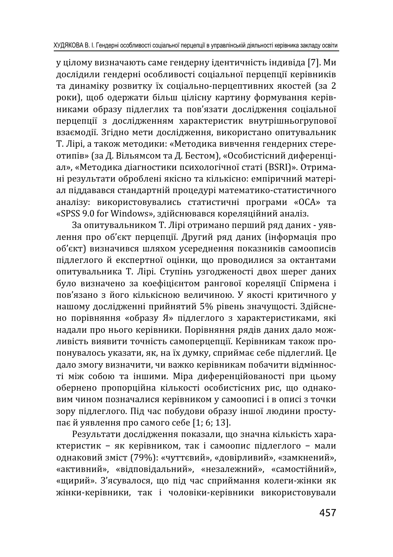у цілому визначають саме гендерну ідентичність індивіда [7]. Ми дослідили гендерні особливості соціальної перцепції керівників та динаміку розвитку їх соціально-перцептивних якостей (за 2 роки), шоб одержати більш цілісну картину формування керівниками образу підлеглих та пов'язати дослідження соціальної перцепиії з дослідженням характеристик внутрішньогрупової взаємодії. Згідно мети дослідження, використано опитувальник Т. Лірі, а також методики: «Методика вивчення гендерних стереотипів» (за Д. Вільямсом та Д. Бестом), «Особистісний диференціал», «Методика діагностики психологічної статі (BSRI)». Отримані результати оброблені якісно та кількісно: емпіричний матеріал піддавався стандартній процедурі математико-статистичного аналізу: використовувались статистичні програми «ОСА» та «SPSS 9.0 for Windows», здійснювався кореляційний аналіз.

За опитувальником Т. Лірі отримано перший ряд даних - уявлення про об'єкт перцепції. Другий ряд даних (інформація про об'єкт) визначився шляхом усереднення показників самоописів підлеглого й експертної оцінки, що проводилися за октантами опитувальника Т. Лірі. Ступінь узгодженості двох шерег даних було визначено за коефіцієнтом рангової кореляції Спірмена і пов'язано з його кількісною величиною. У якості критичного у нашому дослідженні прийнятий 5% рівень значущості. Здійснено порівняння «образу Я» підлеглого з характеристиками, які надали про нього керівники. Порівняння рядів даних дало можливість виявити точність самоперцепції. Керівникам також пропонувалось указати, як, на їх думку, сприймає себе підлеглий. Це дало змогу визначити, чи важко керівникам побачити відмінності між собою та іншими. Міра диференційованості при цьому обернено пропорційна кількості особистісних рис, що однаковим чином позначалися керівником у самоописі і в описі з точки зору підлеглого. Під час побудови образу іншої людини проступає й уявлення про самого себе [1; 6; 13].

Результати дослідження показали, що значна кількість характеристик - як керівником, так і самоопис підлеглого - мали однаковий зміст (79%): «чуттєвий», «довірливий», «замкнений», «активний», «відповідальний», «незалежний», «самостійний», «щирий». З'ясувалося, що під час сприймання колеги-жінки як жінки-керівники, так і чоловіки-керівники використовували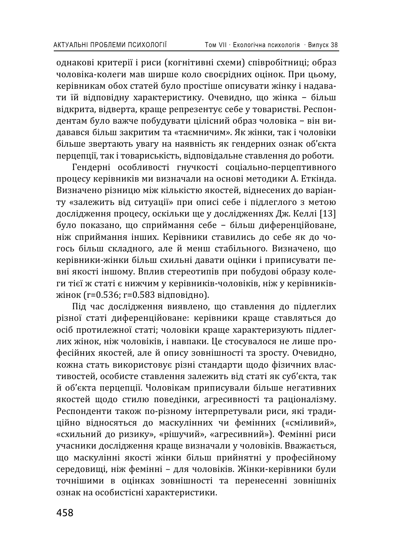однакові критерії і риси (когнітивні схеми) співробітниці; образ чоловіка-колеги мав ширше коло своєрідних оцінок. При цьому, керівникам обох статей було простіше описувати жінку і надавати їй відповідну характеристику. Очевидно, що жінка - більш відкрита, відверта, краще репрезентує себе у товаристві. Респондентам було важче побудувати цілісний образ чоловіка - він видавався більш закритим та «таємничим». Як жінки, так і чоловіки більше звертають увагу на наявність як гендерних ознак об'єкта перцепції, так і товариськість, відповідальне ставлення до роботи.

Гендерні особливості гнучкості соціально-перцептивного процесу керівників ми визначали на основі методики А. Еткінда. Визначено різницю між кількістю якостей, віднесених до варіанту «залежить від ситуації» при описі себе і підлеглого з метою дослідження процесу, оскільки ще у дослідженнях Дж. Келлі [13] було показано, що сприймання себе - більш диференційоване, ніж сприймання інших. Керівники ставились до себе як до чогось більш складного, але й менш стабільного. Визначено, що керівники-жінки більш схильні давати оцінки і приписувати певні якості іншому. Вплив стереотипів при побудові образу колеги тієї ж статі є нижчим у керівників-чоловіків, ніж у керівниківжінок (r=0.536; r=0.583 відповідно).

Під час дослідження виявлено, що ставлення до підлеглих різної статі диференційоване: керівники краще ставляться до осіб протилежної статі; чоловіки краще характеризують підлеглих жінок, ніж чоловіків, і навпаки. Це стосувалося не лише професійних якостей, але й опису зовнішності та зросту. Очевидно, кожна стать використовує різні стандарти щодо фізичних властивостей, особисте ставлення залежить від статі як суб'єкта, так й об'єкта перцепції. Чоловікам приписували більше негативних якостей щодо стилю поведінки, агресивності та раціоналізму. Респонденти також по-різному інтерпретували риси, які традиційно відносяться до маскулінних чи фемінних («сміливий», «схильний до ризику», «рішучий», «агресивний»). Фемінні риси учасники дослідження краще визначали у чоловіків. Вважається, що маскулінні якості жінки більш прийнятні у професійному середовищі, ніж фемінні - для чоловіків. Жінки-керівники були точнішими в оцінках зовнішності та перенесенні зовнішніх ознак на особистісні характеристики.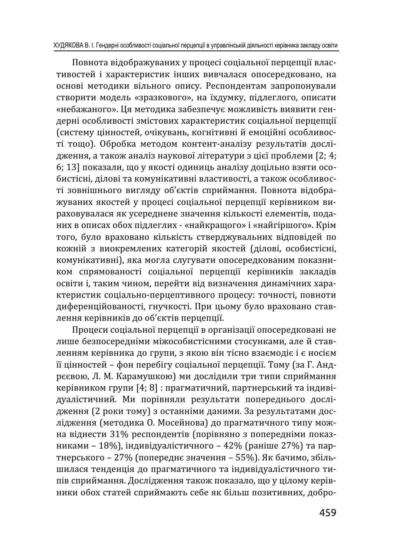Повнота відображуваних у процесі соціальної перцепції властивостей і характеристик інших вивчалася опосередковано, на основі методики вільного опису. Респондентам запропонували створити модель «зразкового», на їхдумку, підлеглого, описати «небажаного». Ця методика забезпечує можливість виявити гендерні особливості змістових характеристик соціальної перцепції (систему цінностей, очікувань, когнітивні й емоційні особливості тощо). Обробка методом контент-аналізу результатів дослідження, а також аналіз наукової літератури з цієї проблеми [2; 4; 6; 13] показали, що у якості одиниць аналізу доцільно взяти особистісні, ділові та комунікативні властивості, а також особливості зовнішнього вигляду об'єктів сприймання. Повнота відображуваних якостей у процесі соціальної перцепції керівником вираховувалася як усереднене значення кількості елементів, поданих в описах обох підлеглих - «найкращого» і «найгіршого». Крім того, було враховано кількість стверджувальних відповідей по кожній з виокремлених категорій якостей (ділові, особистісні, комунікативні), яка могла слугувати опосередкованим показником спрямованості соціальної перцепції керівників закладів освіти і, таким чином, перейти від визначення динамічних характеристик соціально-перцептивного процесу: точності, повноти диференційованості, гнучкості. При цьому було враховано ставлення керівників до об'єктів перцепції.

Процеси соціальної перцепції в організації опосередковані не лише безпосередніми міжособистісними стосунками, але й ставленням керівника до групи, з якою він тісно взаємодіє і є носієм її цінностей - фон перебігу соціальної перцепції. Тому (за Г. Андрєєвою, Л. М. Карамушкою) ми дослідили три типи сприймання керівником групи [4; 8] : прагматичний, партнерський та індивідуалістичний. Ми порівняли результати попереднього дослідження (2 роки тому) з останніми даними. За результатами дослідження (методика О. Мосейнова) до прагматичного типу можна віднести 31% респондентів (порівняно з попередніми показниками - 18%), індивідуалістичного - 42% (раніше 27%) та партнерського - 27% (попереднє значення - 55%). Як бачимо, збільшилася тенденція до прагматичного та індивідуалістичного типів сприймання. Дослідження також показало, що у цілому керівники обох статей сприймають себе як більш позитивних, добро-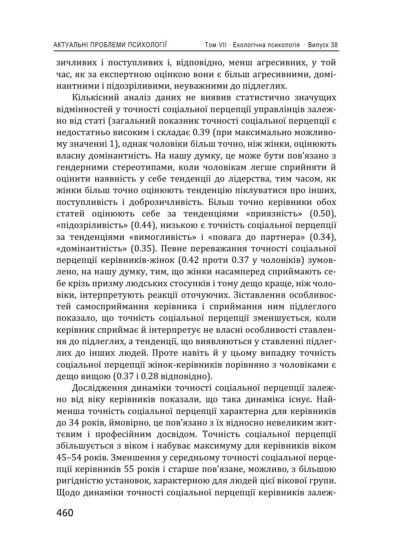зичливих і поступливих і, відповідно, менш агресивних, у той час, як за експертною оцінкою вони є більш агресивними, домінантними і підозріливими, неуважними до підлеглих.

Кількісний аналіз даних не виявив статистично значуших відмінностей у точності соціальної перцепції управлінців залежно від статі (загальний показник точності соціальної перцепції є недостатньо високим і складає 0.39 (при максимально можливому значенні 1), однак чоловіки більш точно, ніж жінки, оцінюють власну домінантність. На нашу думку, це може бути пов'язано з гендерними стереотипами, коли чоловікам легше сприйняти й оцінити наявність у себе тенденції до лідерства, тим часом, як жінки більш точно оцінюють тенденцію піклуватися про інших, поступливість і доброзичливість. Більш точно керівники обох статей оцінюють себе за тенденціями «приязність» (0.50), «підозріливість» (0.44), низькою є точність соціальної перцепції за тенденціями «вимогливість» і «повага до партнера» (0.34), «домінантність» (0.35). Певне переважання точності соціальної перцепції керівників-жінок (0.42 проти 0.37 у чоловіків) зумовлено, на нашу думку, тим, що жінки насамперед сприймають себе крізь призму людських стосунків і тому дещо краще, ніж чоловіки, інтерпретують реакції оточуючих. Зіставлення особливостей самосприймання керівника і сприймання ним підлеглого показало, що точність соціальної перцепції зменшується, коли керівник сприймає й інтерпретує не власні особливості ставлення до підлеглих, а тенденції, що виявляються у ставленні підлеглих до інших людей. Проте навіть й у цьому випадку точність соціальної перцепції жінок-керівників порівняно з чоловіками є дещо вищою (0.37 і 0.28 відповідно).

Дослідження динаміки точності соціальної перцепції залежно від віку керівників показали, що така динаміка існує. Найменша точність соціальної перцепції характерна для керівників до 34 років, ймовірно, це пов'язано з їх відносно невеликим життєвим і професійним досвідом. Точність соціальної перцепції збільшується з віком і набуває максимуму для керівників віком 45-54 років. Зменшення у середньому точності соціальної перцепції керівників 55 років і старше пов'язане, можливо, з більшою ригідністю установок, характерною для людей цієї вікової групи. Щодо динаміки точності соціальної перцепції керівників залеж-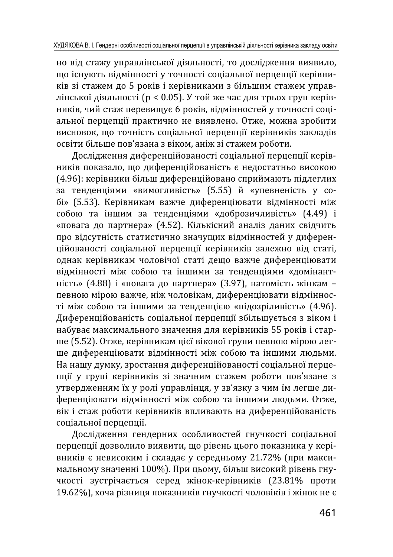но від стажу управлінської діяльності, то дослідження виявило, що існують відмінності у точності соціальної перцепції керівників зі стажем до 5 років і керівниками з більшим стажем управлінської діяльності (р < 0.05). У той же час для трьох груп керівників, чий стаж перевищує 6 років, відмінностей у точності соціальної перцепиїї практично не виявлено. Отже, можна зробити висновок, що точність соціальної перцепції керівників закладів освіти більше пов'язана з віком, аніж зі стажем роботи.

Дослідження диференційованості соціальної перцепції керівників показало, що диференційованість є недостатньо високою (4.96): керівники більш диференційовано сприймають підлеглих за тенденціями «вимогливість» (5.55) й «упевненість у собі» (5.53). Керівникам важче диференціювати відмінності між собою та іншим за тенденціями «доброзичливість» (4.49) і «повага до партнера» (4.52). Кількісний аналіз даних свідчить про відсутність статистично значущих відмінностей у диферениійованості соціальної перцепції керівників залежно від статі. однак керівникам чоловічої статі дещо важче диференціювати відмінності між собою та іншими за тенденціями «домінантність» (4.88) і «повага до партнера» (3.97), натомість жінкам певною мірою важче, ніж чоловікам, диференціювати відмінності між собою та іншими за тенденцією «підозріливість» (4.96). Диференційованість соціальної перцепції збільшується з віком і набуває максимального значення для керівників 55 років і старше (5.52). Отже, керівникам цієї вікової групи певною мірою легше диференціювати відмінності між собою та іншими людьми. На нашу думку, зростання диференційованості соціальної перцепції у групі керівників зі значним стажем роботи пов'язане з утвердженням їх у ролі управлінця, у зв'язку з чим їм легше диференціювати відмінності між собою та іншими людьми. Отже, вік і стаж роботи керівників впливають на диференційованість соціальної перцепції.

Дослідження гендерних особливостей гнучкості соціальної перцепції дозволило виявити, що рівень цього показника у керівників є невисоким і складає у середньому 21.72% (при максимальному значенні 100%). При цьому, більш високий рівень гнучкості зустрічається серед жінок-керівників (23.81% проти 19.62%), хоча різниця показників гнучкості чоловіків і жінок не є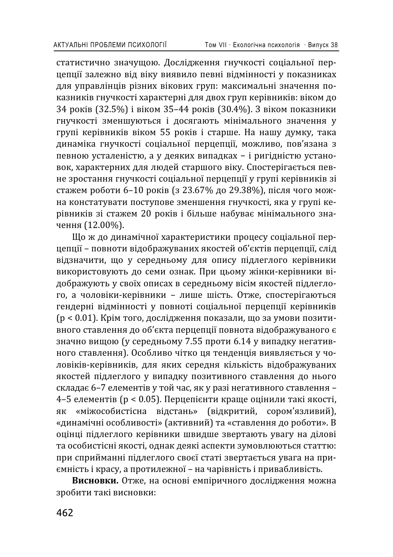статистично значущою. Дослідження гнучкості соціальної перцепції залежно від віку виявило певні відмінності у показниках для управлінців різних вікових груп: максимальні значення показників гнучкості характерні для двох груп керівників; віком до 34 років (32.5%) і віком 35-44 років (30.4%). З віком показники гнучкості зменшуються і досягають мінімального значення у групі керівників віком 55 років і старше. На нашу думку, така динаміка гнучкості соціальної перцепції, можливо, пов'язана з певною усталеністю, а у деяких випадках - і ригідністю установок, характерних для людей старшого віку. Спостерігається певне зростання гнучкості соціальної перцепції у групі керівників зі стажем роботи 6-10 років (з 23.67% до 29.38%), після чого можна констатувати поступове зменшення гнучкості, яка у групі керівників зі стажем 20 років і більше набуває мінімального значення (12.00%).

Що ж до динамічної характеристики процесу соціальної периепиії – повноти вілображуваних якостей об'єктів перцепиії, слід відзначити, що у середньому для опису підлеглого керівники використовують до семи ознак. При цьому жінки-керівники відображують у своїх описах в середньому вісім якостей підлеглого, а чоловіки-керівники - лише шість. Отже, спостерігаються гендерні відмінності у повноті соціальної перцепції керівників (р < 0.01). Крім того, дослідження показали, що за умови позитивного ставлення до об'єкта перцепції повнота відображуваного є значно вищою (у середньому 7.55 проти 6.14 у випадку негативного ставлення). Особливо чітко ця тенденція виявляється у чоловіків-керівників, для яких середня кількість відображуваних якостей підлеглого у випадку позитивного ставлення до нього складає 6-7 елементів у той час, як у разі негативного ставлення -4-5 елементів (р < 0.05). Перцепієнти краще оцінили такі якості, як «міжособистісна вілстань» (вілкритий, сором'язливий). «міжособистісна відстань» (відкритий, сором'язливий), «динамічні особливості» (активний) та «ставлення до роботи». В оцінці підлеглого керівники швидше звертають увагу на ділові та особистісні якості, однак деякі аспекти зумовлюються статтю: при сприйманні підлеглого своєї статі звертається увага на приємність і красу, а протилежної - на чарівність і привабливість.

Висновки. Отже, на основі емпіричного дослідження можна зробити такі висновки: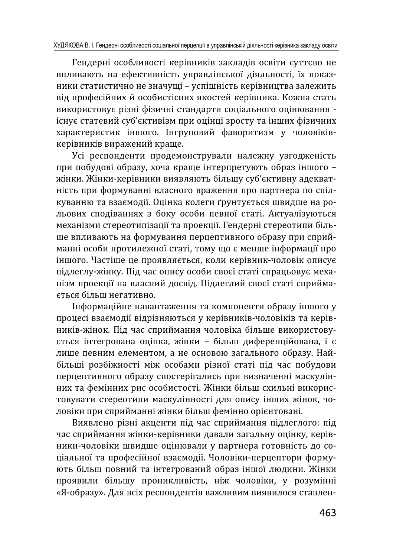Гендерні особливості керівників закладів освіти суттєво не впливають на ефективність управлінської діяльності, їх показники статистично не значущі - успішність керівництва залежить віл професійних й особистісних якостей керівника. Кожна стать використовує різні фізичні стандарти соціального оцінювання iснує статевий суб'єктивізм при оцінці зросту та інших фізичних характеристик іншого. Інгруповий фаворитизм у чоловіківкерівників виражений краще.

Усі респонденти продемонстрували належну узгодженість при побудові образу, хоча краще інтерпретують образ іншого жінки. Жінки-керівники виявляють більшу суб'єктивну адекватність при формуванні власного враження про партнера по спілкуванню та взаємодії. Оцінка колеги ґрунтується швидше на рольових сподіваннях з боку особи певної статі. Актуалізуються механізми стереотипізації та проекції. Гендерні стереотипи більше впливають на формування перцептивного образу при сприйманні особи протилежної статі, тому що є менше інформації про іншого. Частіше це проявляється, коли керівник-чоловік описує підлеглу-жінку. Під час опису особи своєї статі спрацьовує механізм проекції на власний досвід. Підлеглий своєї статі сприймається більш негативно.

Інформаційне навантаження та компоненти образу іншого у процесі взаємодії відрізняються у керівників-чоловіків та керівників-жінок. Під час сприймання чоловіка більше використовується інтегрована оцінка, жінки - більш диференційована, і є лише певним елементом, а не основою загального образу. Найбільші розбіжності між особами різної статі під час побудови перцептивного образу спостерігались при визначенні маскулінних та фемінних рис особистості. Жінки більш схильні використовувати стереотипи маскулінності для опису інших жінок, чоловіки при сприйманні жінки більш фемінно орієнтовані.

Виявлено різні акценти під час сприймання підлеглого: під час сприймання жінки-керівники давали загальну оцінку, керівники-чоловіки швидше оцінювали у партнера готовність до соціальної та професійної взаємодії. Чоловіки-перцептори формукоть більш повний та інтегрований образ іншої людини. Жінки проявили більшу проникливість, ніж чоловіки, у розумінні «Я-образу». Для всіх респондентів важливим виявилося ставлен-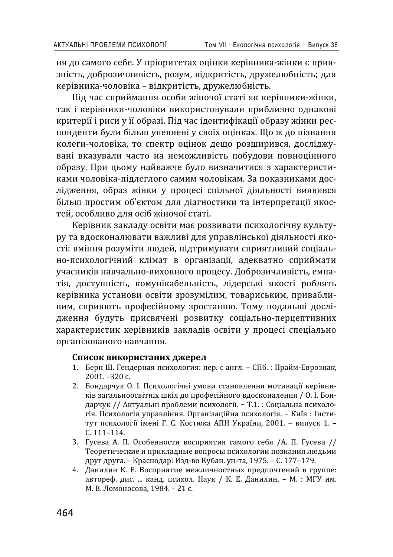ня до самого себе. У пріоритетах оцінки керівника-жінки є приязність, доброзичливість, розум, відкритість, дружелюбність; для керівника-чоловіка - відкритість, дружелюбність.

Під час сприймання особи жіночої статі як керівники-жінки. так і керівники-чоловіки використовували приблизно однакові критерії і риси у її образі. Під час ідентифікації образу жінки респонденти були більш упевнені у своїх оцінках. Що ж до пізнання колеги-чоловіка, то спектр оцінок дещо розширився, досліджувані вказували часто на неможливість побудови повноцінного образу. При цьому найважче було визначитися з характеристиками чоловіка-підлеглого самим чоловікам. За показниками дослідження, образ жінки у процесі спільної діяльності виявився більш простим об'єктом для діагностики та інтерпретації якостей, особливо для осіб жіночої статі.

Керівник закладу освіти має розвивати психологічну культуру та вдосконалювати важливі для управлінської діяльності якості: вміння розуміти людей, підтримувати сприятливий соціально-психологічний клімат в організації, адекватно сприймати учасників навчально-виховного процесу. Доброзичливість, емпатія, доступність, комунікабельність, лідерські якості роблять керівника установи освіти зрозумілим, товариським, привабливим, сприяють професійному зростанню. Тому подальші дослідження будуть присвячені розвитку соціально-перцептивних характеристик керівників закладів освіти у процесі спеціально організованого навчання.

#### Список використаних джерел

- 1. Берн Ш. Гендерная психология: пер. с англ. СПб. : Прайм-Еврознак,  $2001. -320c$ .
- 2. Бондарчук О. І. Психологічні умови становлення мотивації керівників загальноосвітніх шкіл до професійного вдосконалення / О. І. Бондарчук // Актуальні проблеми психології. - Т.1.: Соціальна психологія. Психологія управління. Організаційна психологія. - Київ : Інститут психології імені Г. С. Костюка АПН України, 2001. - випуск 1. - $C. 111 - 114.$
- 3. Гусева А. П. Особенности восприятия самого себя /А. П. Гусева // Теоретические и прикладные вопросы психологии познания людьми друг друга. - Краснодар: Изд-во Кубан. ун-та, 1975. - С. 177-179.
- 4. Данилин К. Е. Восприятие межличностных предпочтений в группе: автореф. дис. ... канд. психол. Наук / К. Е. Данилин. - М. : МГУ им. М. В. Ломоносова, 1984. - 21 с.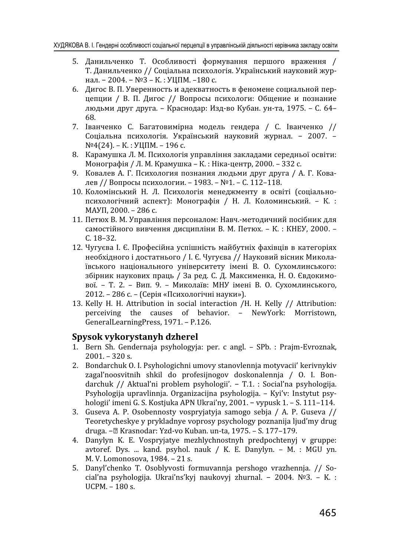- 5. Данильченко Т. Особливості формування першого враження / Т. Данильченко // Соціальна психологія. Український науковий журнал. - 2004. - №3 - К.: УЦПМ. -180 с.
- 6. Дигос В. П. Уверенность и адекватность в феномене социальной периепции / В. П. Дигос // Вопросы психологи: Общение и познание людьми друг друга. - Краснодар: Изд-во Кубан. ун-та, 1975. - С. 64-68
- 7. Іванченко С. Багатовимірна модель гендера / С. Іванченко // Соціальна психологія. Український науковий журнал. - 2007. -№4(24). – К.: УЦПМ. – 196 с.
- 8. Карамушка Л. М. Психологія управління закладами середньої освіти: Монографія / Л. М. Крамушка – К. : Ніка-центр, 2000. – 332 с.
- 9. Ковалев А. Г. Психология познания людьми друг друга / А. Г. Ковалев // Вопросы психологии. - 1983. - №1. - С. 112-118.
- 10. Коломінський Н. Л. Психологія менеджменту в освіті (соціальнопсихологічний аспект): Монографія / Н. Л. Коломинський. - К.: ΜΑΥΠ, 2000. - 286 с.
- 11. Петюх В. М. Управління персоналом: Навч.-методичний посібник для самостійного вивчення дисципліни В. М. Петюх. - К.: КНЕУ, 2000. - $C_18-32$
- 12. Чугуєва І. Є. Професійна успішність майбутніх фахівців в категоріях необхідного і достатнього / І. Є. Чугуєва // Науковий вісник Миколаївського національного університету імені В. О. Сухомлинського: збірник наукових праць / За ред. С. Д. Максименка, Н. О. Євдокимової. - Т. 2. - Вип. 9. - Миколаїв: МНУ імені В. О. Сухомлинського, 2012. – 286 с. – (Серія «Психологічні науки»).
- 13. Kelly H. H. Attribution in social interaction /H. H. Kelly // Attribution:<br>perceiving the causes of behavior. NewYork: Morristown. the causes of behavior. - NewYork: Morristown, GeneralLearningPress, 1971. – P.126.

#### **Spysok vykorystanyh dzherel**

- 1. Bern Sh. Gendernaja psyhologyja: per. c angl. SPb. : Prajm-Evroznak,  $2001 - 320$  s.
- 2. Bondarchuk O. I. Psyhologichni umovy stanovlennja motyvacii' kerivnykiv zagal'noosvitnih shkil do profesijnogov doskonalennja / O. I. Bondarchuk // Aktual'ni problem psyhologii'. - T.1. : Social'na psyhologija. Psyhologija upravlinnja. Organizacijna psyhologija. - Kyi'v: Instytut psyhologii' imeni G. S. Kostjuka APN Ukrai'ny, 2001. – vypusk 1. – S. 111–114.
- 3. Guseva A. P. Osobennosty vospryjatyja samogo sebja / A. P. Guseva // Teoretycheskye y prykladnye voprosy psychology poznanija ljud'my drug druga. - <sup>n</sup> Krasnodar: Yzd-vo Kuban. un-ta, 1975. - S. 177-179.
- 4. Danylyn K. E. Vospryjatye mezhlychnostnyh predpochtenyj v gruppe: avtoref. Dys. ... kand. psyhol. nauk / K. E. Danylyn. – M. : MGU yn. M. V. Lomonosova, 1984. - 21 s.
- 5. Danyl'chenko T. Osoblyvosti formuvannja pershogo vrazhennja. // Social'na psyhologija. Ukrai'ns'kyj naukovyj zhurnal. - 2004.  $N<sup>°</sup>3.$  - K. :  $UCPM. - 180$  s.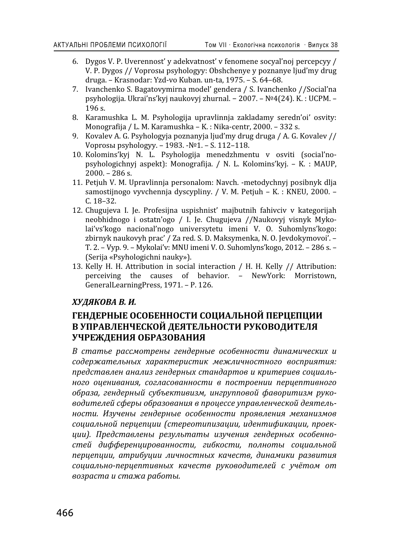- 6. Dygos V. P. Uverennosť y adekvatnosť v fenomene socyaľ noj percepcyy / V. P. Dygos // Voprosы psyhologyy: Obshchenye y poznanye ljud'my drug druga. - Krasnodar: Yzd-vo Kuban. un-ta, 1975. - S. 64-68.
- 7. Ivanchenko S. Bagatovymirna model' gendera / S. Ivanchenko //Social'na psyhologija, Ukrai'ns'kvi naukovyi zhurnal. - 2007. - Nº4(24), K. : UCPM. -196 s.
- 8. Karamushka L. M. Psyhologija upravlinnja zakladamy seredn'oi' osvity: Monografija / L. M. Karamushka - K. : Nika-centr, 2000. - 332 s.
- 9. Kovalev A. G. Psyhologyja poznanyja ljud'my drug druga / A. G. Kovalev // Voprosы psyhologyy. - 1983. -№1. - S. 112-118.
- 10. Kolomins'kyj N. L. Psyhologija menedzhmentu v osviti (social'nopsyhologichnyj aspekt): Monografija. / N. L. Kolomins'kvi. - K. : MAUP.  $2000. - 286$  s.
- 11. Petjuh V. M. Upravlinnja personalom: Navch. -metodychnyj posibnyk dlja samostijnogo vyvchennia dyscypliny. / V. M. Petjuh – K. : KNEU, 2000. –  $C. 18 - 32.$
- 12. Chugujeva I. Je. Profesijna uspishnist' majbutnih fahivciv v kategorijah neobhidnogo i ostatn'ogo / I. Je. Chugujeva //Naukovyj visnyk Mykolai'vs'kogo nacional'nogo universytetu imeni V. O. Suhomlyns'kogo: zbirnyk naukovyh prac' / Za red. S. D. Maksymenka, N. O. Jevdokymovoi'. -T. 2. - Vyp. 9. - Mykolai'v: MNU imeni V. O. Suhomlyns'kogo, 2012. - 286 s. -(Serija «Psyhologichni nauky»).
- 13. Kelly H. H. Attribution in social interaction / H. H. Kelly // Attribution: perceiving the causes of behavior. - NewYork: Morristown, GeneralLearningPress, 1971. – P. 126.

#### $XY\cancel{A}AKOBA B. M.$

## ГЕНДЕРНЫЕ ОСОБЕННОСТИ СОЦИАЛЬНОЙ ПЕРЦЕПЦИИ В УПРАВЛЕНЧЕСКОЙ ДЕЯТЕЛЬНОСТИ РУКОВОДИТЕЛЯ УЧРЕЖДЕНИЯ ОБРАЗОВАНИЯ

 $B$  статье рассмотрены гендерные особенности динамических и содержательных характеристик межличностного восприятия: представлен анализ гендерных стандартов и критериев социаль**иого оценивания, согласованности в построении перцептивного** *ˑ˄˓˃ˊ˃, ˆˈːˇˈ˓ː˞ˌ ˔˖˄˝ˈˍ˕ˋ˅ˋˊˏ, ˋːˆ˓˖˒˒ˑ˅ˑˌ ˗˃˅ˑ˓ˋ˕ˋˊˏ ˓˖ˍˑ- ˅ˑˇˋ˕ˈˎˈˌ ˔˗ˈ˓˞ ˑ˄˓˃ˊˑ˅˃ːˋˢ ˅ ˒˓ˑ˙ˈ˔˔ˈ ˖˒˓˃˅ˎˈː˚ˈ˔ˍˑˌ ˇˈˢ˕ˈˎ˟* **иости. Изучены гендерные особенности проявления механизмов** социальной перцепции (стереотипизации, идентификации, проек-*˙ˋˋ). ʞ˓ˈˇ˔˕˃˅ˎˈː˞ ˓ˈˊ˖ˎ˟˕˃˕˞ ˋˊ˖˚ˈːˋˢ ˆˈːˇˈ˓ː˞˘ ˑ˔ˑ˄ˈːːˑ* стей дифференцированности, гибкости, полноты социальной перцепции, атрибуции личностных качеств, динамики развития социально-перцептивных качеств руководителей с учётом от *˅ˑˊ˓˃˔˕˃ ˋ ˔˕˃ˉ˃ ˓˃˄ˑ˕˞.*